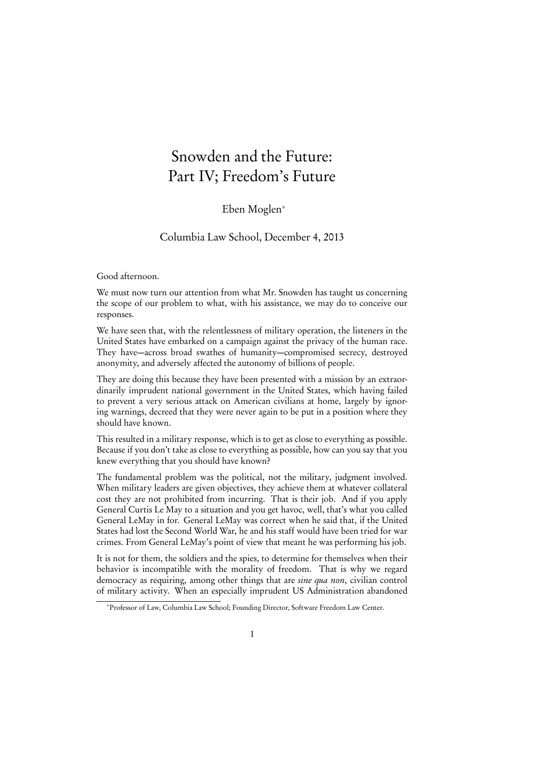## Snowden and the Future: Part IV; Freedom's Future

## Eben Moglen<sup>∗</sup>

Columbia Law School, December 4, 2013

Good afternoon.

We must now turn our attention from what Mr. Snowden has taught us concerning the scope of our problem to what, with his assistance, we may do to conceive our responses.

We have seen that, with the relentlessness of military operation, the listeners in the United States have embarked on a campaign against the privacy of the human race. They have—across broad swathes of humanity—compromised secrecy, destroyed anonymity, and adversely affected the autonomy of billions of people.

They are doing this because they have been presented with a mission by an extraordinarily imprudent national government in the United States, which having failed to prevent a very serious attack on American civilians at home, largely by ignoring warnings, decreed that they were never again to be put in a position where they should have known.

This resulted in a military response, which is to get as close to everything as possible. Because if you don't take as close to everything as possible, how can you say that you knew everything that you should have known?

The fundamental problem was the political, not the military, judgment involved. When military leaders are given objectives, they achieve them at whatever collateral cost they are not prohibited from incurring. That is their job. And if you apply General Curtis Le May to a situation and you get havoc, well, that's what you called General LeMay in for. General LeMay was correct when he said that, if the United States had lost the Second World War, he and his staff would have been tried for war crimes. From General LeMay's point of view that meant he was performing his job.

It is not for them, the soldiers and the spies, to determine for themselves when their behavior is incompatible with the morality of freedom. That is why we regard democracy as requiring, among other things that are *sine qua non*, civilian control of military activity. When an especially imprudent US Administration abandoned

<sup>∗</sup>Professor of Law, Columbia Law School; Founding Director, Software Freedom Law Center.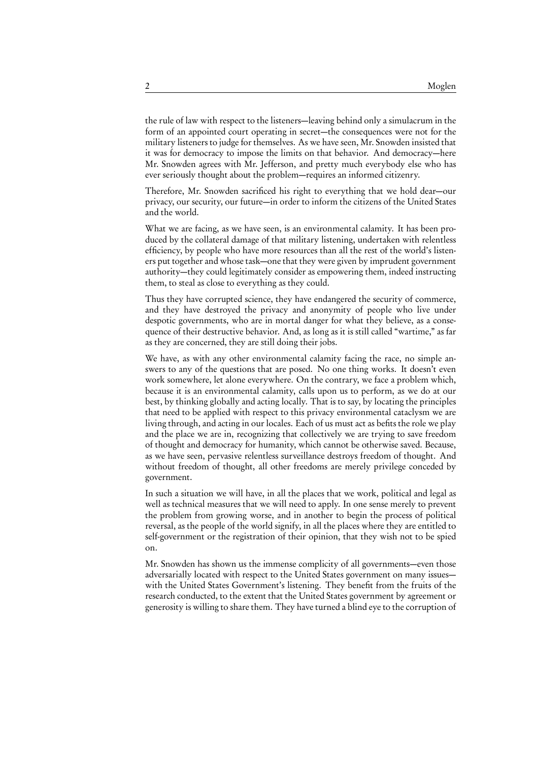the rule of law with respect to the listeners—leaving behind only a simulacrum in the form of an appointed court operating in secret—the consequences were not for the military listeners to judge for themselves. As we have seen, Mr. Snowden insisted that it was for democracy to impose the limits on that behavior. And democracy—here Mr. Snowden agrees with Mr. Jefferson, and pretty much everybody else who has ever seriously thought about the problem—requires an informed citizenry.

Therefore, Mr. Snowden sacrificed his right to everything that we hold dear—our privacy, our security, our future—in order to inform the citizens of the United States and the world.

What we are facing, as we have seen, is an environmental calamity. It has been produced by the collateral damage of that military listening, undertaken with relentless efficiency, by people who have more resources than all the rest of the world's listeners put together and whose task—one that they were given by imprudent government authority—they could legitimately consider as empowering them, indeed instructing them, to steal as close to everything as they could.

Thus they have corrupted science, they have endangered the security of commerce, and they have destroyed the privacy and anonymity of people who live under despotic governments, who are in mortal danger for what they believe, as a consequence of their destructive behavior. And, as long as it is still called "wartime," as far as they are concerned, they are still doing their jobs.

We have, as with any other environmental calamity facing the race, no simple answers to any of the questions that are posed. No one thing works. It doesn't even work somewhere, let alone everywhere. On the contrary, we face a problem which, because it is an environmental calamity, calls upon us to perform, as we do at our best, by thinking globally and acting locally. That is to say, by locating the principles that need to be applied with respect to this privacy environmental cataclysm we are living through, and acting in our locales. Each of us must act as befits the role we play and the place we are in, recognizing that collectively we are trying to save freedom of thought and democracy for humanity, which cannot be otherwise saved. Because, as we have seen, pervasive relentless surveillance destroys freedom of thought. And without freedom of thought, all other freedoms are merely privilege conceded by government.

In such a situation we will have, in all the places that we work, political and legal as well as technical measures that we will need to apply. In one sense merely to prevent the problem from growing worse, and in another to begin the process of political reversal, as the people of the world signify, in all the places where they are entitled to self-government or the registration of their opinion, that they wish not to be spied on.

Mr. Snowden has shown us the immense complicity of all governments—even those adversarially located with respect to the United States government on many issues with the United States Government's listening. They benefit from the fruits of the research conducted, to the extent that the United States government by agreement or generosity is willing to share them. They have turned a blind eye to the corruption of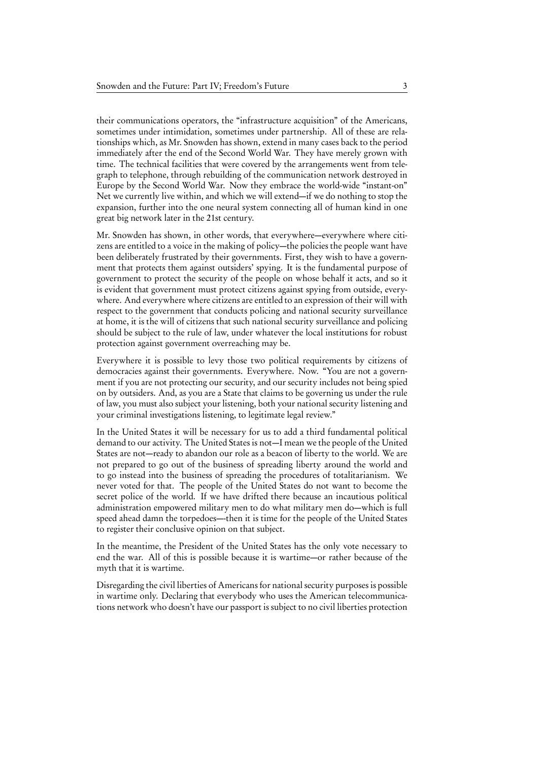their communications operators, the "infrastructure acquisition" of the Americans, sometimes under intimidation, sometimes under partnership. All of these are relationships which, as Mr. Snowden has shown, extend in many cases back to the period immediately after the end of the Second World War. They have merely grown with time. The technical facilities that were covered by the arrangements went from telegraph to telephone, through rebuilding of the communication network destroyed in Europe by the Second World War. Now they embrace the world-wide "instant-on" Net we currently live within, and which we will extend—if we do nothing to stop the expansion, further into the one neural system connecting all of human kind in one great big network later in the 21st century.

Mr. Snowden has shown, in other words, that everywhere—everywhere where citizens are entitled to a voice in the making of policy—the policies the people want have been deliberately frustrated by their governments. First, they wish to have a government that protects them against outsiders' spying. It is the fundamental purpose of government to protect the security of the people on whose behalf it acts, and so it is evident that government must protect citizens against spying from outside, everywhere. And everywhere where citizens are entitled to an expression of their will with respect to the government that conducts policing and national security surveillance at home, it is the will of citizens that such national security surveillance and policing should be subject to the rule of law, under whatever the local institutions for robust protection against government overreaching may be.

Everywhere it is possible to levy those two political requirements by citizens of democracies against their governments. Everywhere. Now. "You are not a government if you are not protecting our security, and our security includes not being spied on by outsiders. And, as you are a State that claims to be governing us under the rule of law, you must also subject your listening, both your national security listening and your criminal investigations listening, to legitimate legal review."

In the United States it will be necessary for us to add a third fundamental political demand to our activity. The United States is not—I mean we the people of the United States are not—ready to abandon our role as a beacon of liberty to the world. We are not prepared to go out of the business of spreading liberty around the world and to go instead into the business of spreading the procedures of totalitarianism. We never voted for that. The people of the United States do not want to become the secret police of the world. If we have drifted there because an incautious political administration empowered military men to do what military men do—which is full speed ahead damn the torpedoes—-then it is time for the people of the United States to register their conclusive opinion on that subject.

In the meantime, the President of the United States has the only vote necessary to end the war. All of this is possible because it is wartime—or rather because of the myth that it is wartime.

Disregarding the civil liberties of Americans for national security purposes is possible in wartime only. Declaring that everybody who uses the American telecommunications network who doesn't have our passport is subject to no civil liberties protection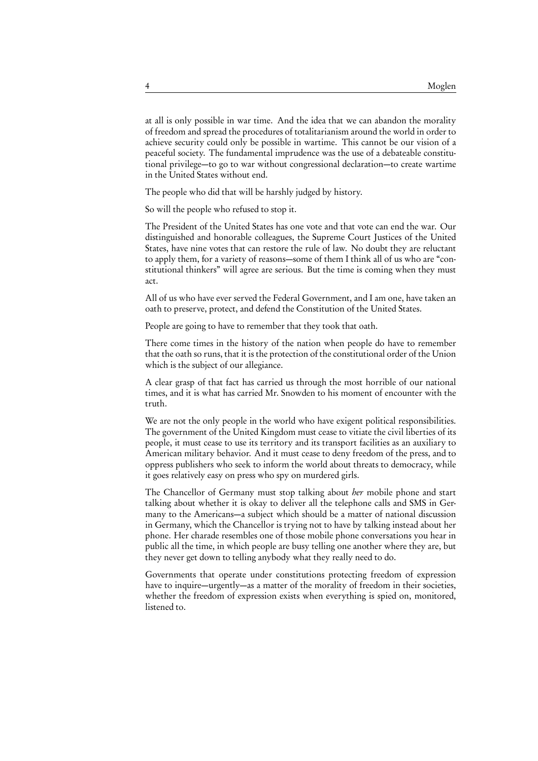at all is only possible in war time. And the idea that we can abandon the morality of freedom and spread the procedures of totalitarianism around the world in order to achieve security could only be possible in wartime. This cannot be our vision of a peaceful society. The fundamental imprudence was the use of a debateable constitutional privilege—to go to war without congressional declaration—to create wartime in the United States without end.

The people who did that will be harshly judged by history.

So will the people who refused to stop it.

The President of the United States has one vote and that vote can end the war. Our distinguished and honorable colleagues, the Supreme Court Justices of the United States, have nine votes that can restore the rule of law. No doubt they are reluctant to apply them, for a variety of reasons—some of them I think all of us who are "constitutional thinkers" will agree are serious. But the time is coming when they must act.

All of us who have ever served the Federal Government, and I am one, have taken an oath to preserve, protect, and defend the Constitution of the United States.

People are going to have to remember that they took that oath.

There come times in the history of the nation when people do have to remember that the oath so runs, that it is the protection of the constitutional order of the Union which is the subject of our allegiance.

A clear grasp of that fact has carried us through the most horrible of our national times, and it is what has carried Mr. Snowden to his moment of encounter with the truth.

We are not the only people in the world who have exigent political responsibilities. The government of the United Kingdom must cease to vitiate the civil liberties of its people, it must cease to use its territory and its transport facilities as an auxiliary to American military behavior. And it must cease to deny freedom of the press, and to oppress publishers who seek to inform the world about threats to democracy, while it goes relatively easy on press who spy on murdered girls.

The Chancellor of Germany must stop talking about her mobile phone and start talking about whether it is okay to deliver all the telephone calls and SMS in Germany to the Americans—a subject which should be a matter of national discussion in Germany, which the Chancellor is trying not to have by talking instead about her phone. Her charade resembles one of those mobile phone conversations you hear in public all the time, in which people are busy telling one another where they are, but they never get down to telling anybody what they really need to do.

Governments that operate under constitutions protecting freedom of expression have to inquire—urgently—as a matter of the morality of freedom in their societies, whether the freedom of expression exists when everything is spied on, monitored, listened to.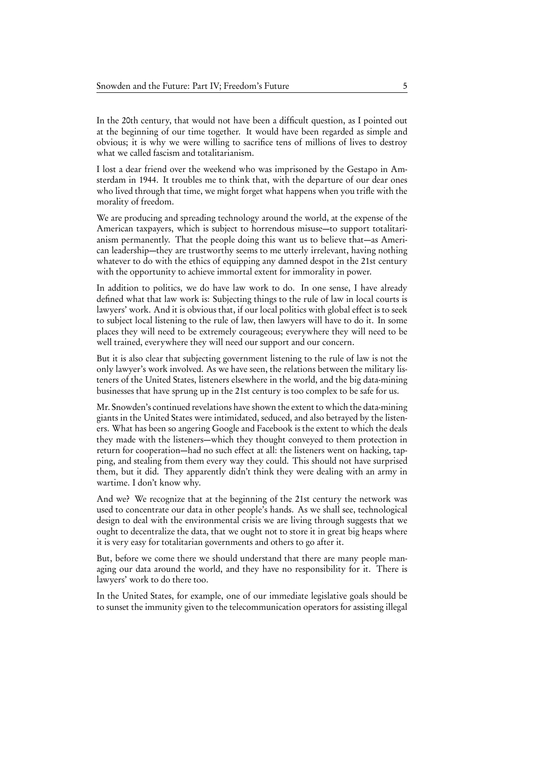In the 20th century, that would not have been a difficult question, as I pointed out at the beginning of our time together. It would have been regarded as simple and obvious; it is why we were willing to sacrifice tens of millions of lives to destroy what we called fascism and totalitarianism.

I lost a dear friend over the weekend who was imprisoned by the Gestapo in Amsterdam in 1944. It troubles me to think that, with the departure of our dear ones who lived through that time, we might forget what happens when you trifle with the morality of freedom.

We are producing and spreading technology around the world, at the expense of the American taxpayers, which is subject to horrendous misuse—to support totalitarianism permanently. That the people doing this want us to believe that—as American leadership—they are trustworthy seems to me utterly irrelevant, having nothing whatever to do with the ethics of equipping any damned despot in the 21st century with the opportunity to achieve immortal extent for immorality in power.

In addition to politics, we do have law work to do. In one sense, I have already defined what that law work is: Subjecting things to the rule of law in local courts is lawyers' work. And it is obvious that, if our local politics with global effect is to seek to subject local listening to the rule of law, then lawyers will have to do it. In some places they will need to be extremely courageous; everywhere they will need to be well trained, everywhere they will need our support and our concern.

But it is also clear that subjecting government listening to the rule of law is not the only lawyer's work involved. As we have seen, the relations between the military listeners of the United States, listeners elsewhere in the world, and the big data-mining businesses that have sprung up in the 21st century is too complex to be safe for us.

Mr. Snowden's continued revelations have shown the extent to which the data-mining giants in the United States were intimidated, seduced, and also betrayed by the listeners. What has been so angering Google and Facebook is the extent to which the deals they made with the listeners—which they thought conveyed to them protection in return for cooperation—had no such effect at all: the listeners went on hacking, tapping, and stealing from them every way they could. This should not have surprised them, but it did. They apparently didn't think they were dealing with an army in wartime. I don't know why.

And we? We recognize that at the beginning of the 21st century the network was used to concentrate our data in other people's hands. As we shall see, technological design to deal with the environmental crisis we are living through suggests that we ought to decentralize the data, that we ought not to store it in great big heaps where it is very easy for totalitarian governments and others to go after it.

But, before we come there we should understand that there are many people managing our data around the world, and they have no responsibility for it. There is lawyers' work to do there too.

In the United States, for example, one of our immediate legislative goals should be to sunset the immunity given to the telecommunication operators for assisting illegal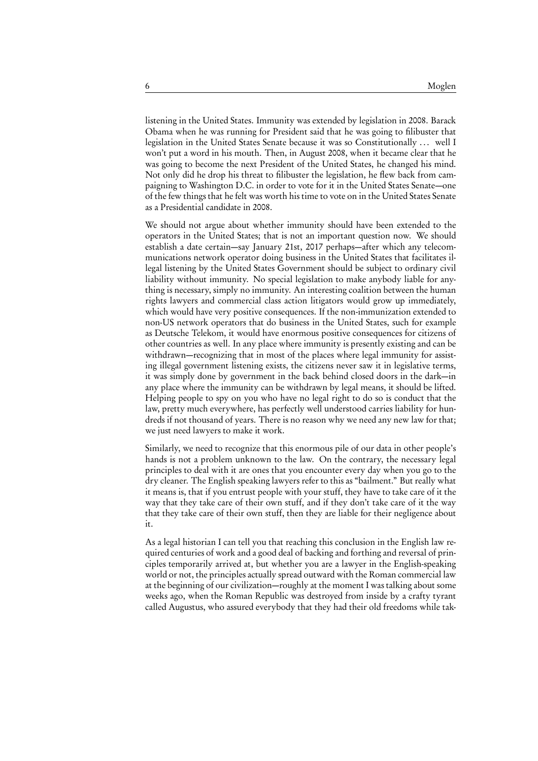listening in the United States. Immunity was extended by legislation in 2008. Barack Obama when he was running for President said that he was going to filibuster that legislation in the United States Senate because it was so Constitutionally ... well I won't put a word in his mouth. Then, in August 2008, when it became clear that he was going to become the next President of the United States, he changed his mind. Not only did he drop his threat to filibuster the legislation, he flew back from campaigning to Washington D.C. in order to vote for it in the United States Senate—one of the few things that he felt was worth his time to vote on in the United States Senate as a Presidential candidate in 2008.

We should not argue about whether immunity should have been extended to the operators in the United States; that is not an important question now. We should establish a date certain—say January 21st, 2017 perhaps—after which any telecommunications network operator doing business in the United States that facilitates illegal listening by the United States Government should be subject to ordinary civil liability without immunity. No special legislation to make anybody liable for anything is necessary, simply no immunity. An interesting coalition between the human rights lawyers and commercial class action litigators would grow up immediately, which would have very positive consequences. If the non-immunization extended to non-US network operators that do business in the United States, such for example as Deutsche Telekom, it would have enormous positive consequences for citizens of other countries as well. In any place where immunity is presently existing and can be withdrawn—recognizing that in most of the places where legal immunity for assisting illegal government listening exists, the citizens never saw it in legislative terms, it was simply done by government in the back behind closed doors in the dark—in any place where the immunity can be withdrawn by legal means, it should be lifted. Helping people to spy on you who have no legal right to do so is conduct that the law, pretty much everywhere, has perfectly well understood carries liability for hundreds if not thousand of years. There is no reason why we need any new law for that; we just need lawyers to make it work.

Similarly, we need to recognize that this enormous pile of our data in other people's hands is not a problem unknown to the law. On the contrary, the necessary legal principles to deal with it are ones that you encounter every day when you go to the dry cleaner. The English speaking lawyers refer to this as "bailment." But really what it means is, that if you entrust people with your stuff, they have to take care of it the way that they take care of their own stuff, and if they don't take care of it the way that they take care of their own stuff, then they are liable for their negligence about it.

As a legal historian I can tell you that reaching this conclusion in the English law required centuries of work and a good deal of backing and forthing and reversal of principles temporarily arrived at, but whether you are a lawyer in the English-speaking world or not, the principles actually spread outward with the Roman commercial law at the beginning of our civilization—roughly at the moment I was talking about some weeks ago, when the Roman Republic was destroyed from inside by a crafty tyrant called Augustus, who assured everybody that they had their old freedoms while tak-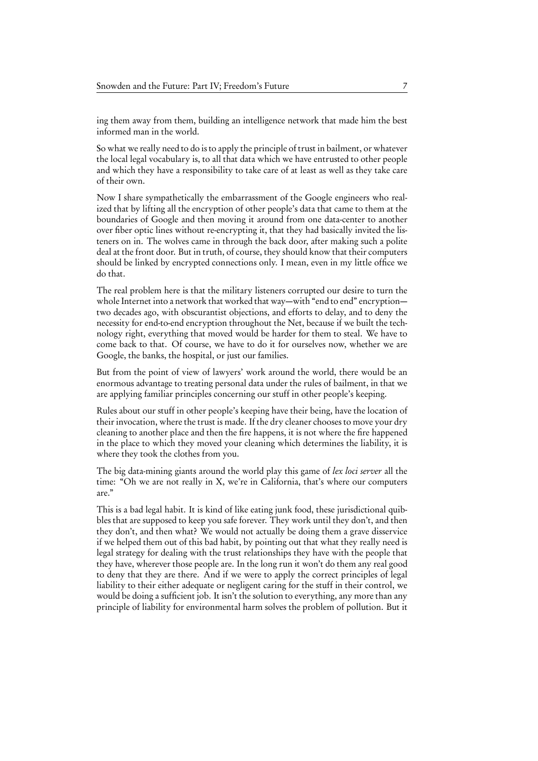ing them away from them, building an intelligence network that made him the best informed man in the world.

So what we really need to do is to apply the principle of trust in bailment, or whatever the local legal vocabulary is, to all that data which we have entrusted to other people and which they have a responsibility to take care of at least as well as they take care of their own.

Now I share sympathetically the embarrassment of the Google engineers who realized that by lifting all the encryption of other people's data that came to them at the boundaries of Google and then moving it around from one data-center to another over fiber optic lines without re-encrypting it, that they had basically invited the listeners on in. The wolves came in through the back door, after making such a polite deal at the front door. But in truth, of course, they should know that their computers should be linked by encrypted connections only. I mean, even in my little office we do that.

The real problem here is that the military listeners corrupted our desire to turn the whole Internet into a network that worked that way—with "end to end" encryption two decades ago, with obscurantist objections, and efforts to delay, and to deny the necessity for end-to-end encryption throughout the Net, because if we built the technology right, everything that moved would be harder for them to steal. We have to come back to that. Of course, we have to do it for ourselves now, whether we are Google, the banks, the hospital, or just our families.

But from the point of view of lawyers' work around the world, there would be an enormous advantage to treating personal data under the rules of bailment, in that we are applying familiar principles concerning our stuff in other people's keeping.

Rules about our stuff in other people's keeping have their being, have the location of their invocation, where the trust is made. If the dry cleaner chooses to move your dry cleaning to another place and then the fire happens, it is not where the fire happened in the place to which they moved your cleaning which determines the liability, it is where they took the clothes from you.

The big data-mining giants around the world play this game of *lex loci server* all the time: "Oh we are not really in X, we're in California, that's where our computers are."

This is a bad legal habit. It is kind of like eating junk food, these jurisdictional quibbles that are supposed to keep you safe forever. They work until they don't, and then they don't, and then what? We would not actually be doing them a grave disservice if we helped them out of this bad habit, by pointing out that what they really need is legal strategy for dealing with the trust relationships they have with the people that they have, wherever those people are. In the long run it won't do them any real good to deny that they are there. And if we were to apply the correct principles of legal liability to their either adequate or negligent caring for the stuff in their control, we would be doing a sufficient job. It isn't the solution to everything, any more than any principle of liability for environmental harm solves the problem of pollution. But it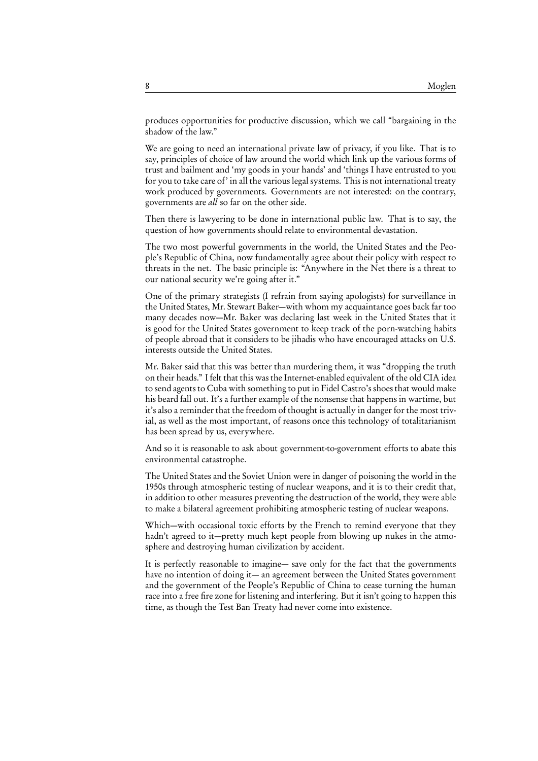produces opportunities for productive discussion, which we call "bargaining in the shadow of the law."

We are going to need an international private law of privacy, if you like. That is to say, principles of choice of law around the world which link up the various forms of trust and bailment and 'my goods in your hands' and 'things I have entrusted to you for you to take care of' in all the various legal systems. This is not international treaty work produced by governments. Governments are not interested: on the contrary, governments are all so far on the other side.

Then there is lawyering to be done in international public law. That is to say, the question of how governments should relate to environmental devastation.

The two most powerful governments in the world, the United States and the People's Republic of China, now fundamentally agree about their policy with respect to threats in the net. The basic principle is: "Anywhere in the Net there is a threat to our national security we're going after it."

One of the primary strategists (I refrain from saying apologists) for surveillance in the United States, Mr. Stewart Baker—with whom my acquaintance goes back far too many decades now—Mr. Baker was declaring last week in the United States that it is good for the United States government to keep track of the porn-watching habits of people abroad that it considers to be jihadis who have encouraged attacks on U.S. interests outside the United States.

Mr. Baker said that this was better than murdering them, it was "dropping the truth on their heads." I felt that this was the Internet-enabled equivalent of the old CIA idea to send agents to Cuba with something to put in Fidel Castro's shoes that would make his beard fall out. It's a further example of the nonsense that happens in wartime, but it's also a reminder that the freedom of thought is actually in danger for the most trivial, as well as the most important, of reasons once this technology of totalitarianism has been spread by us, everywhere.

And so it is reasonable to ask about government-to-government efforts to abate this environmental catastrophe.

The United States and the Soviet Union were in danger of poisoning the world in the 1950s through atmospheric testing of nuclear weapons, and it is to their credit that, in addition to other measures preventing the destruction of the world, they were able to make a bilateral agreement prohibiting atmospheric testing of nuclear weapons.

Which—with occasional toxic efforts by the French to remind everyone that they hadn't agreed to it—pretty much kept people from blowing up nukes in the atmosphere and destroying human civilization by accident.

It is perfectly reasonable to imagine— save only for the fact that the governments have no intention of doing it— an agreement between the United States government and the government of the People's Republic of China to cease turning the human race into a free fire zone for listening and interfering. But it isn't going to happen this time, as though the Test Ban Treaty had never come into existence.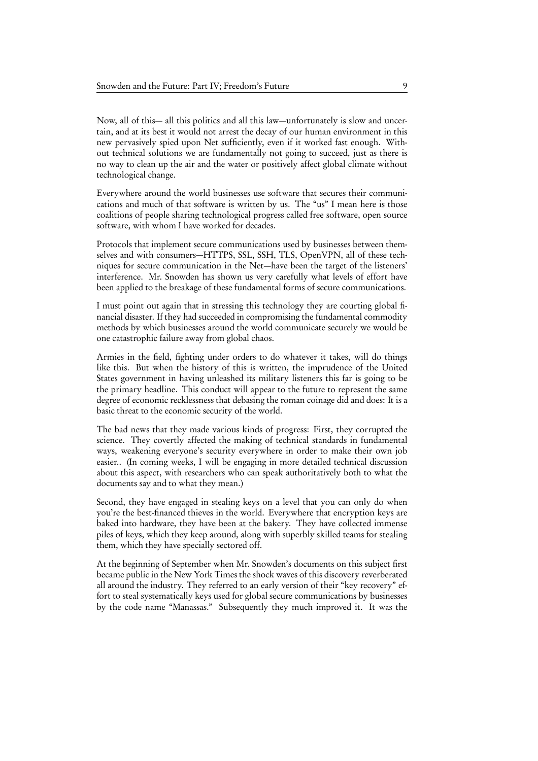Now, all of this— all this politics and all this law—unfortunately is slow and uncertain, and at its best it would not arrest the decay of our human environment in this new pervasively spied upon Net sufficiently, even if it worked fast enough. Without technical solutions we are fundamentally not going to succeed, just as there is no way to clean up the air and the water or positively affect global climate without technological change.

Everywhere around the world businesses use software that secures their communications and much of that software is written by us. The "us" I mean here is those coalitions of people sharing technological progress called free software, open source software, with whom I have worked for decades.

Protocols that implement secure communications used by businesses between themselves and with consumers—HTTPS, SSL, SSH, TLS, OpenVPN, all of these techniques for secure communication in the Net—have been the target of the listeners' interference. Mr. Snowden has shown us very carefully what levels of effort have been applied to the breakage of these fundamental forms of secure communications.

I must point out again that in stressing this technology they are courting global financial disaster. If they had succeeded in compromising the fundamental commodity methods by which businesses around the world communicate securely we would be one catastrophic failure away from global chaos.

Armies in the field, fighting under orders to do whatever it takes, will do things like this. But when the history of this is written, the imprudence of the United States government in having unleashed its military listeners this far is going to be the primary headline. This conduct will appear to the future to represent the same degree of economic recklessness that debasing the roman coinage did and does: It is a basic threat to the economic security of the world.

The bad news that they made various kinds of progress: First, they corrupted the science. They covertly affected the making of technical standards in fundamental ways, weakening everyone's security everywhere in order to make their own job easier.. (In coming weeks, I will be engaging in more detailed technical discussion about this aspect, with researchers who can speak authoritatively both to what the documents say and to what they mean.)

Second, they have engaged in stealing keys on a level that you can only do when you're the best-financed thieves in the world. Everywhere that encryption keys are baked into hardware, they have been at the bakery. They have collected immense piles of keys, which they keep around, along with superbly skilled teams for stealing them, which they have specially sectored off.

At the beginning of September when Mr. Snowden's documents on this subject first became public in the New York Times the shock waves of this discovery reverberated all around the industry. They referred to an early version of their "key recovery" effort to steal systematically keys used for global secure communications by businesses by the code name "Manassas." Subsequently they much improved it. It was the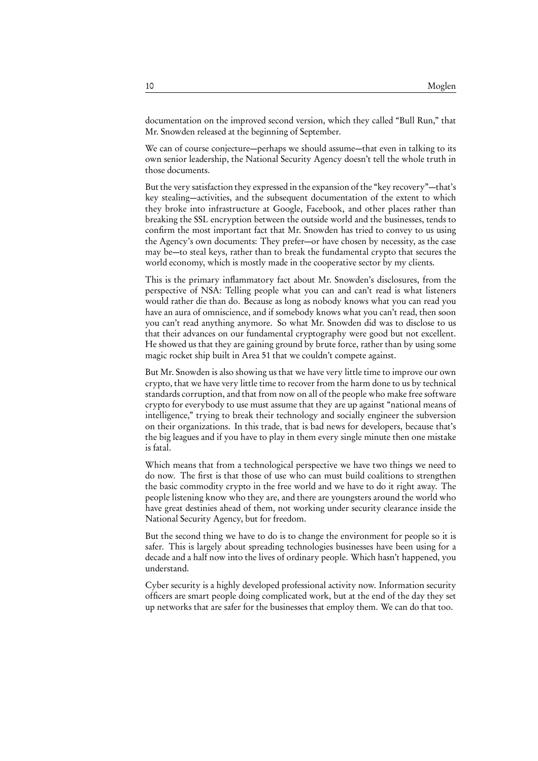documentation on the improved second version, which they called "Bull Run," that Mr. Snowden released at the beginning of September.

We can of course conjecture—perhaps we should assume—that even in talking to its own senior leadership, the National Security Agency doesn't tell the whole truth in those documents.

But the very satisfaction they expressed in the expansion of the "key recovery"—that's key stealing—activities, and the subsequent documentation of the extent to which they broke into infrastructure at Google, Facebook, and other places rather than breaking the SSL encryption between the outside world and the businesses, tends to confirm the most important fact that Mr. Snowden has tried to convey to us using the Agency's own documents: They prefer—or have chosen by necessity, as the case may be—to steal keys, rather than to break the fundamental crypto that secures the world economy, which is mostly made in the cooperative sector by my clients.

This is the primary inflammatory fact about Mr. Snowden's disclosures, from the perspective of NSA: Telling people what you can and can't read is what listeners would rather die than do. Because as long as nobody knows what you can read you have an aura of omniscience, and if somebody knows what you can't read, then soon you can't read anything anymore. So what Mr. Snowden did was to disclose to us that their advances on our fundamental cryptography were good but not excellent. He showed us that they are gaining ground by brute force, rather than by using some magic rocket ship built in Area 51 that we couldn't compete against.

But Mr. Snowden is also showing us that we have very little time to improve our own crypto, that we have very little time to recover from the harm done to us by technical standards corruption, and that from now on all of the people who make free software crypto for everybody to use must assume that they are up against "national means of intelligence," trying to break their technology and socially engineer the subversion on their organizations. In this trade, that is bad news for developers, because that's the big leagues and if you have to play in them every single minute then one mistake is fatal.

Which means that from a technological perspective we have two things we need to do now. The first is that those of use who can must build coalitions to strengthen the basic commodity crypto in the free world and we have to do it right away. The people listening know who they are, and there are youngsters around the world who have great destinies ahead of them, not working under security clearance inside the National Security Agency, but for freedom.

But the second thing we have to do is to change the environment for people so it is safer. This is largely about spreading technologies businesses have been using for a decade and a half now into the lives of ordinary people. Which hasn't happened, you understand.

Cyber security is a highly developed professional activity now. Information security officers are smart people doing complicated work, but at the end of the day they set up networks that are safer for the businesses that employ them. We can do that too.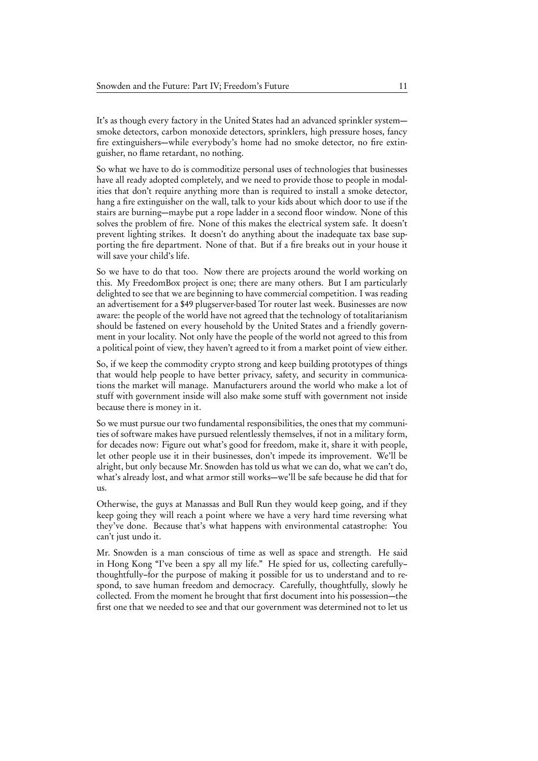It's as though every factory in the United States had an advanced sprinkler system smoke detectors, carbon monoxide detectors, sprinklers, high pressure hoses, fancy fire extinguishers—while everybody's home had no smoke detector, no fire extinguisher, no flame retardant, no nothing.

So what we have to do is commoditize personal uses of technologies that businesses have all ready adopted completely, and we need to provide those to people in modalities that don't require anything more than is required to install a smoke detector, hang a fire extinguisher on the wall, talk to your kids about which door to use if the stairs are burning—maybe put a rope ladder in a second floor window. None of this solves the problem of fire. None of this makes the electrical system safe. It doesn't prevent lighting strikes. It doesn't do anything about the inadequate tax base supporting the fire department. None of that. But if a fire breaks out in your house it will save your child's life.

So we have to do that too. Now there are projects around the world working on this. My FreedomBox project is one; there are many others. But I am particularly delighted to see that we are beginning to have commercial competition. I was reading an advertisement for a \$49 plugserver-based Tor router last week. Businesses are now aware: the people of the world have not agreed that the technology of totalitarianism should be fastened on every household by the United States and a friendly government in your locality. Not only have the people of the world not agreed to this from a political point of view, they haven't agreed to it from a market point of view either.

So, if we keep the commodity crypto strong and keep building prototypes of things that would help people to have better privacy, safety, and security in communications the market will manage. Manufacturers around the world who make a lot of stuff with government inside will also make some stuff with government not inside because there is money in it.

So we must pursue our two fundamental responsibilities, the ones that my communities of software makes have pursued relentlessly themselves, if not in a military form, for decades now: Figure out what's good for freedom, make it, share it with people, let other people use it in their businesses, don't impede its improvement. We'll be alright, but only because Mr. Snowden has told us what we can do, what we can't do, what's already lost, and what armor still works—we'll be safe because he did that for us.

Otherwise, the guys at Manassas and Bull Run they would keep going, and if they keep going they will reach a point where we have a very hard time reversing what they've done. Because that's what happens with environmental catastrophe: You can't just undo it.

Mr. Snowden is a man conscious of time as well as space and strength. He said in Hong Kong "I've been a spy all my life." He spied for us, collecting carefully– thoughtfully–for the purpose of making it possible for us to understand and to respond, to save human freedom and democracy. Carefully, thoughtfully, slowly he collected. From the moment he brought that first document into his possession—the first one that we needed to see and that our government was determined not to let us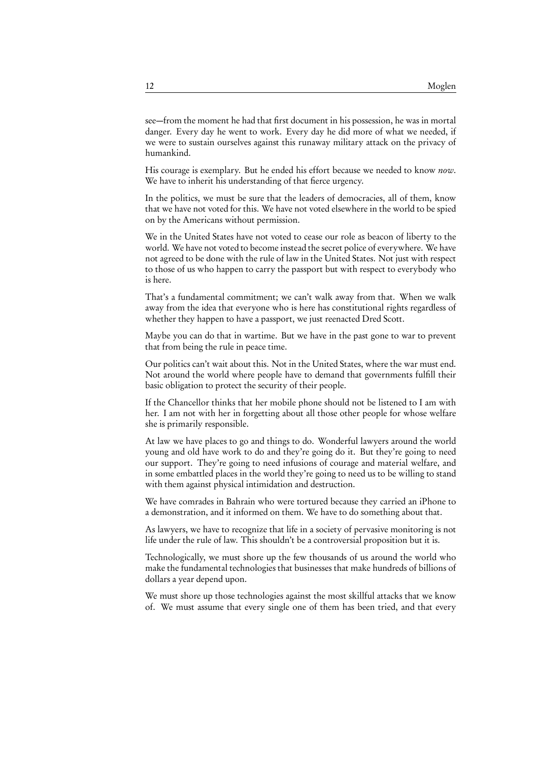see—from the moment he had that first document in his possession, he was in mortal danger. Every day he went to work. Every day he did more of what we needed, if we were to sustain ourselves against this runaway military attack on the privacy of humankind.

His courage is exemplary. But he ended his effort because we needed to know now. We have to inherit his understanding of that fierce urgency.

In the politics, we must be sure that the leaders of democracies, all of them, know that we have not voted for this. We have not voted elsewhere in the world to be spied on by the Americans without permission.

We in the United States have not voted to cease our role as beacon of liberty to the world. We have not voted to become instead the secret police of everywhere. We have not agreed to be done with the rule of law in the United States. Not just with respect to those of us who happen to carry the passport but with respect to everybody who is here.

That's a fundamental commitment; we can't walk away from that. When we walk away from the idea that everyone who is here has constitutional rights regardless of whether they happen to have a passport, we just reenacted Dred Scott.

Maybe you can do that in wartime. But we have in the past gone to war to prevent that from being the rule in peace time.

Our politics can't wait about this. Not in the United States, where the war must end. Not around the world where people have to demand that governments fulfill their basic obligation to protect the security of their people.

If the Chancellor thinks that her mobile phone should not be listened to I am with her. I am not with her in forgetting about all those other people for whose welfare she is primarily responsible.

At law we have places to go and things to do. Wonderful lawyers around the world young and old have work to do and they're going do it. But they're going to need our support. They're going to need infusions of courage and material welfare, and in some embattled places in the world they're going to need us to be willing to stand with them against physical intimidation and destruction.

We have comrades in Bahrain who were tortured because they carried an iPhone to a demonstration, and it informed on them. We have to do something about that.

As lawyers, we have to recognize that life in a society of pervasive monitoring is not life under the rule of law. This shouldn't be a controversial proposition but it is.

Technologically, we must shore up the few thousands of us around the world who make the fundamental technologies that businesses that make hundreds of billions of dollars a year depend upon.

We must shore up those technologies against the most skillful attacks that we know of. We must assume that every single one of them has been tried, and that every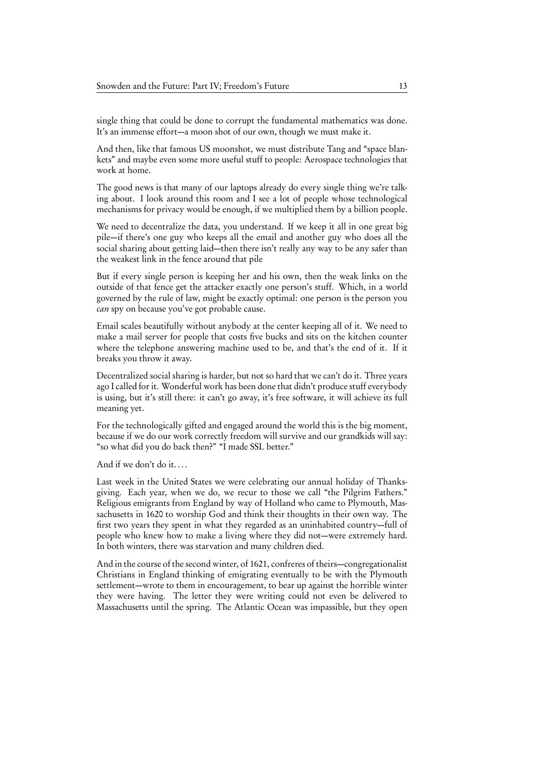single thing that could be done to corrupt the fundamental mathematics was done. It's an immense effort—a moon shot of our own, though we must make it.

And then, like that famous US moonshot, we must distribute Tang and "space blankets" and maybe even some more useful stuff to people: Aerospace technologies that work at home.

The good news is that many of our laptops already do every single thing we're talking about. I look around this room and I see a lot of people whose technological mechanisms for privacy would be enough, if we multiplied them by a billion people.

We need to decentralize the data, you understand. If we keep it all in one great big pile—if there's one guy who keeps all the email and another guy who does all the social sharing about getting laid—then there isn't really any way to be any safer than the weakest link in the fence around that pile

But if every single person is keeping her and his own, then the weak links on the outside of that fence get the attacker exactly one person's stuff. Which, in a world governed by the rule of law, might be exactly optimal: one person is the person you can spy on because you've got probable cause.

Email scales beautifully without anybody at the center keeping all of it. We need to make a mail server for people that costs five bucks and sits on the kitchen counter where the telephone answering machine used to be, and that's the end of it. If it breaks you throw it away.

Decentralized social sharing is harder, but not so hard that we can't do it. Three years ago I called for it. Wonderful work has been done that didn't produce stuff everybody is using, but it's still there: it can't go away, it's free software, it will achieve its full meaning yet.

For the technologically gifted and engaged around the world this is the big moment, because if we do our work correctly freedom will survive and our grandkids will say: "so what did you do back then?" "I made SSL better."

And if we don't do it. . . .

Last week in the United States we were celebrating our annual holiday of Thanksgiving. Each year, when we do, we recur to those we call "the Pilgrim Fathers." Religious emigrants from England by way of Holland who came to Plymouth, Massachusetts in 1620 to worship God and think their thoughts in their own way. The first two years they spent in what they regarded as an uninhabited country—full of people who knew how to make a living where they did not—were extremely hard. In both winters, there was starvation and many children died.

And in the course of the second winter, of 1621, confreres of theirs—congregationalist Christians in England thinking of emigrating eventually to be with the Plymouth settlement—wrote to them in encouragement, to bear up against the horrible winter they were having. The letter they were writing could not even be delivered to Massachusetts until the spring. The Atlantic Ocean was impassible, but they open